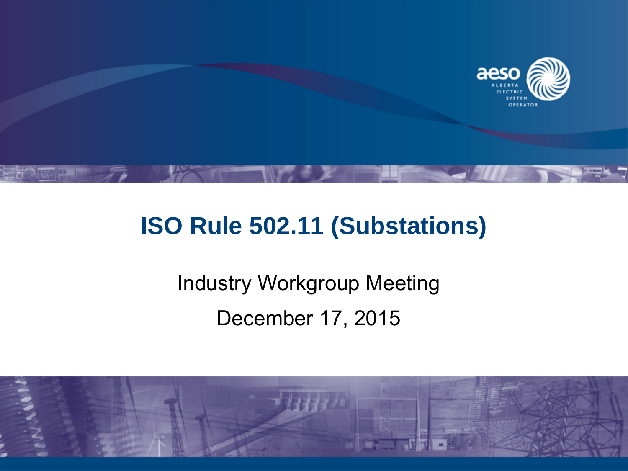

## **ISO Rule 502.11 (Substations)**

# Industry Workgroup Meeting December 17, 2015

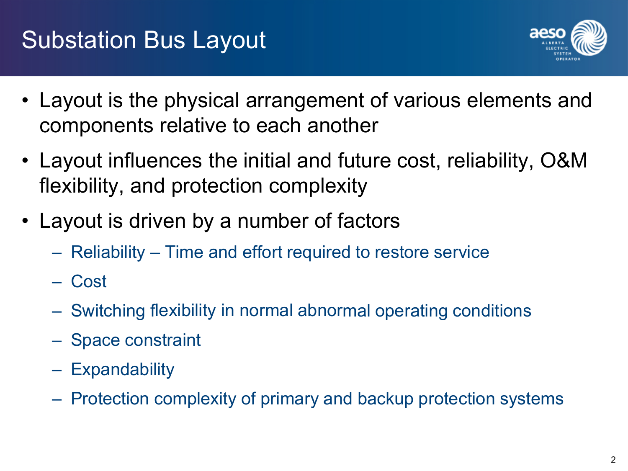

- Layout is the physical arrangement of various elements and components relative to each another
- Layout influences the initial and future cost, reliability, O&M flexibility, and protection complexity
- Layout is driven by a number of factors
	- Reliability Time and effort required to restore service
	- Cost
	- Switching flexibility in normal abnormal operating conditions
	- Space constraint
	- Expandability
	- Protection complexity of primary and backup protection systems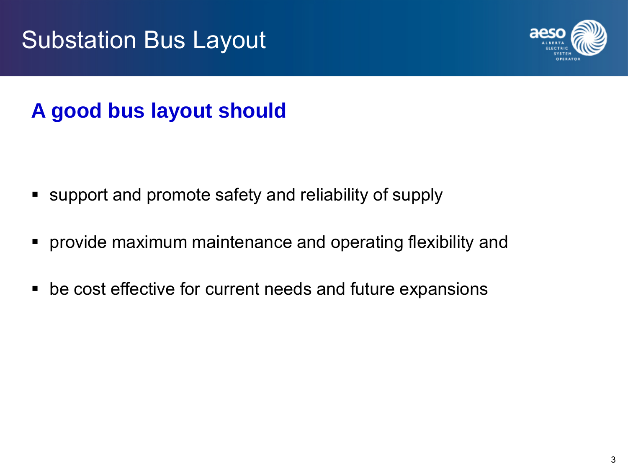

## **A good bus layout should**

- support and promote safety and reliability of supply
- **Perovide maximum maintenance and operating flexibility and**
- be cost effective for current needs and future expansions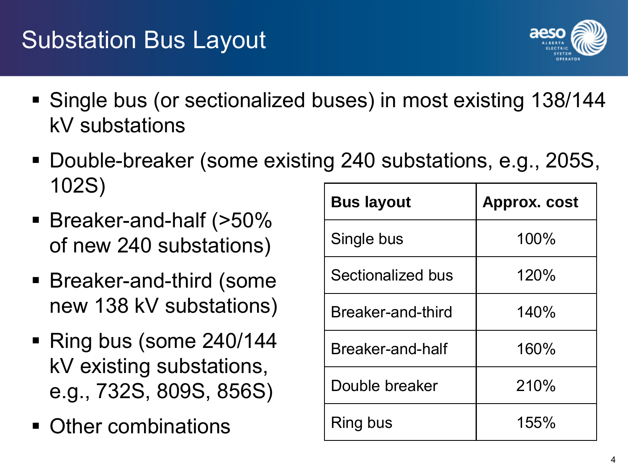- Single bus (or sectionalized buses) in most existing 138/144 kV substations
- Double-breaker (some existing 240 substations, e.g., 205S, 102S)<br>Bus layout Approx. cost
- Breaker-and-half (>50% of new 240 substations)
- Breaker-and-third (some new 138 kV substations)
- Ring bus (some 240/144) kV existing substations, e.g., 732S, 809S, 856S)
- Other combinations

| <b>Bus layout</b> | <b>Approx. cost</b> |
|-------------------|---------------------|
| Single bus        | 100%                |
| Sectionalized bus | 120%                |
| Breaker-and-third | 140%                |
| Breaker-and-half  | 160%                |
| Double breaker    | 210%                |
| Ring bus          | 155%                |

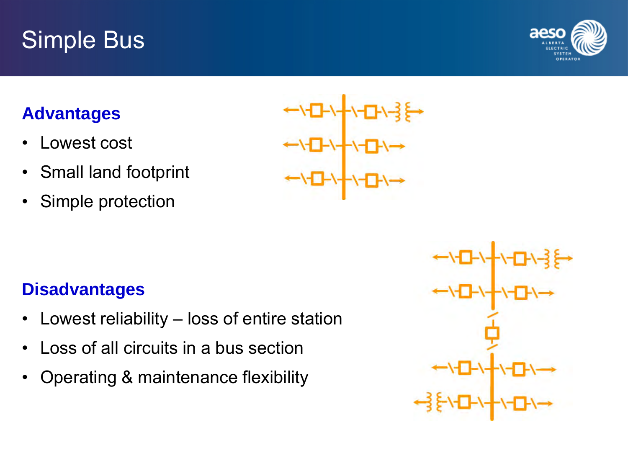# Simple Bus



#### **Advantages**

- Lowest cost
- Small land footprint
- Simple protection

#### **Disadvantages**

- Lowest reliability loss of entire station
- Loss of all circuits in a bus section
- Operating & maintenance flexibility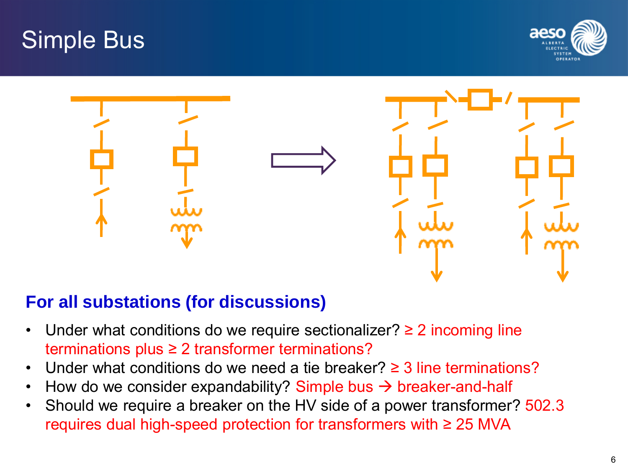





#### **For all substations (for discussions)**

- Under what conditions do we require sectionalizer?  $\geq 2$  incoming line terminations plus ≥ 2 transformer terminations?
- Under what conditions do we need a tie breaker?  $\geq$  3 line terminations?
- How do we consider expandability? Simple bus  $\rightarrow$  breaker-and-half
- Should we require a breaker on the HV side of a power transformer? 502.3 requires dual high-speed protection for transformers with ≥ 25 MVA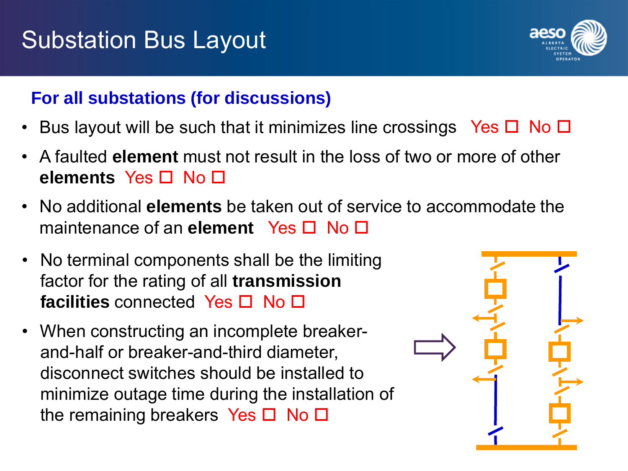

#### **For all substations (for discussions)**

- Bus layout will be such that it minimizes line crossings Yes  $\square$  No  $\square$
- A faulted **element** must not result in the loss of two or more of other **elements** Yes □ No □
- No additional **elements** be taken out of service to accommodate the maintenance of an **element** Yes □ No □
- No terminal components shall be the limiting factor for the rating of all **transmission**  facilities connected Yes □ No □
- When constructing an incomplete breakerand-half or breaker-and-third diameter, disconnect switches should be installed to minimize outage time during the installation of the remaining breakers Yes  $\Box$  No  $\Box$

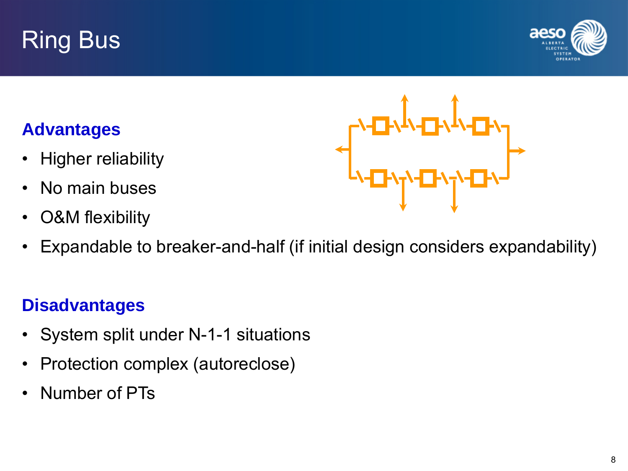# Ring Bus



#### **Advantages**

- Higher reliability
- No main buses
- O&M flexibility



#### **Disadvantages**

- System split under N-1-1 situations
- Protection complex (autoreclose)
- Number of PTs

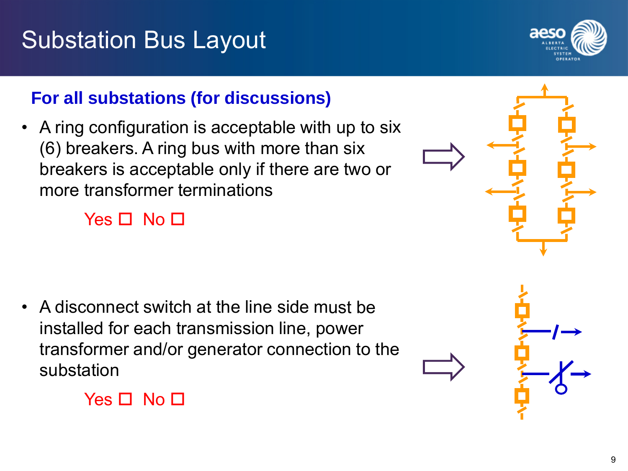

#### **For all substations (for discussions)**

• A ring configuration is acceptable with up to six (6) breakers. A ring bus with more than six breakers is acceptable only if there are two or more transformer terminations

#### Yes  $\Box$  No  $\Box$

• A disconnect switch at the line side must be installed for each transmission line, power transformer and/or generator connection to the substation



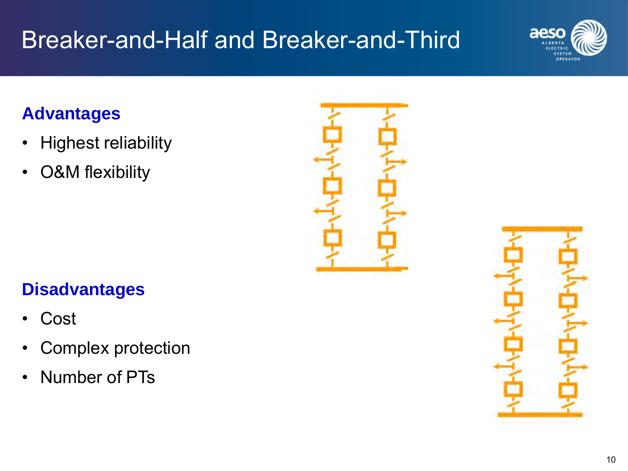# Breaker-and-Half and Breaker-and-Third

# aeso

### **Advantages**

- Highest reliability
- O&M flexibility



#### **Disadvantages**

- **Cost**
- Complex protection
- Number of PTs

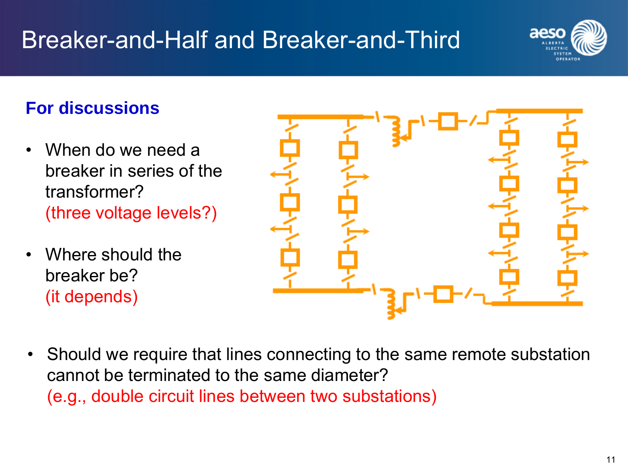# Breaker-and-Half and Breaker-and-Third



#### **For discussions**

- When do we need a breaker in series of the transformer? (three voltage levels?)
- Where should the breaker be? (it depends)



• Should we require that lines connecting to the same remote substation cannot be terminated to the same diameter? (e.g., double circuit lines between two substations)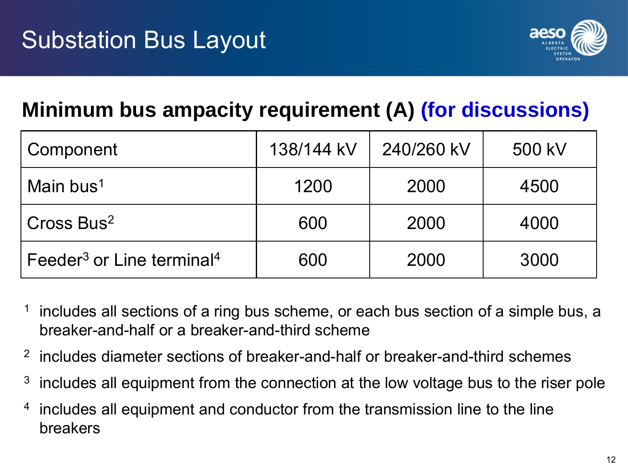

## **Minimum bus ampacity requirement (A) (for discussions)**

| Component                                         | 138/144 kV | 240/260 kV | 500 kV |
|---------------------------------------------------|------------|------------|--------|
| Main bus <sup>1</sup>                             | 1200       | 2000       | 4500   |
| Cross Bus <sup>2</sup>                            | 600        | 2000       | 4000   |
| Feeder <sup>3</sup> or Line terminal <sup>4</sup> | 600        | 2000       | 3000   |

- includes all sections of a ring bus scheme, or each bus section of a simple bus, a breaker-and-half or a breaker-and-third scheme
- <sup>2</sup> includes diameter sections of breaker-and-half or breaker-and-third schemes
- $3\,\,$  includes all equipment from the connection at the low voltage bus to the riser pole
- <sup>4</sup> includes all equipment and conductor from the transmission line to the line breakers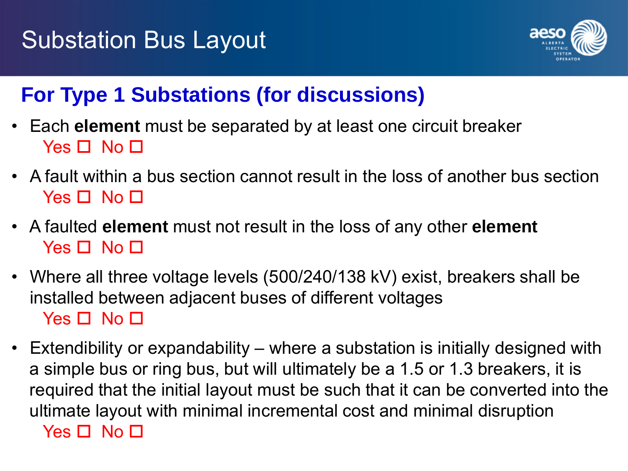

## **For Type 1 Substations (for discussions)**

- Each **element** must be separated by at least one circuit breaker Yes  $\Pi$  No  $\Pi$
- A fault within a bus section cannot result in the loss of another bus section  $Yes \Box No \Box$
- A faulted **element** must not result in the loss of any other **element**  $Yes \Box No \Box$
- Where all three voltage levels (500/240/138 kV) exist, breakers shall be installed between adjacent buses of different voltages Yes  $\Box$  No  $\Box$
- Extendibility or expandability where a substation is initially designed with a simple bus or ring bus, but will ultimately be a 1.5 or 1.3 breakers, it is required that the initial layout must be such that it can be converted into the ultimate layout with minimal incremental cost and minimal disruption Yes  $\Box$  No  $\Box$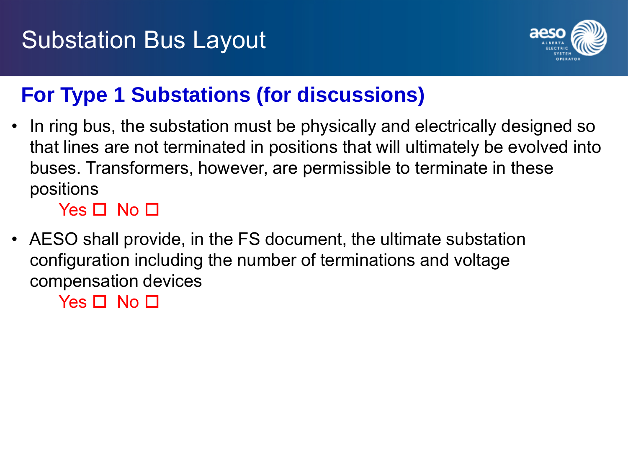

## **For Type 1 Substations (for discussions)**

• In ring bus, the substation must be physically and electrically designed so that lines are not terminated in positions that will ultimately be evolved into buses. Transformers, however, are permissible to terminate in these positions

 $Yes \Box No \Box$ 

• AESO shall provide, in the FS document, the ultimate substation configuration including the number of terminations and voltage compensation devices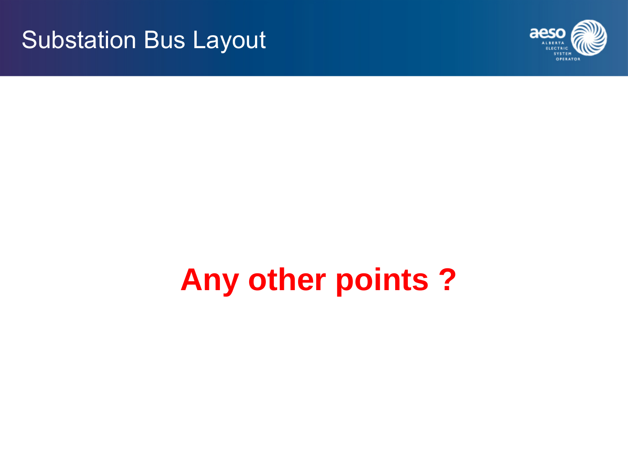

# **Any other points ?**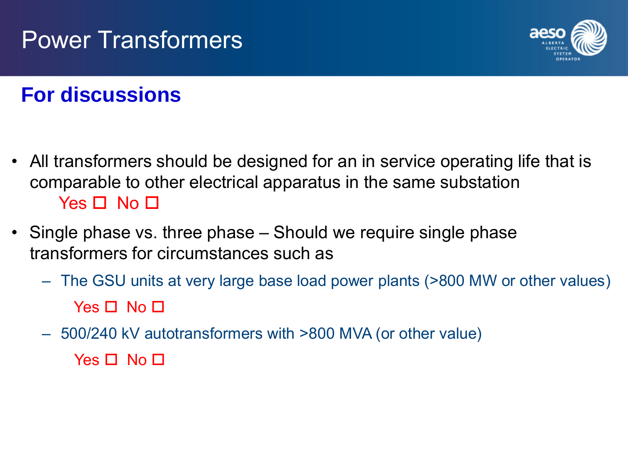# Power Transformers



## **For discussions**

- All transformers should be designed for an in service operating life that is comparable to other electrical apparatus in the same substation  $Yes \Box No \Box$
- Single phase vs. three phase Should we require single phase transformers for circumstances such as
	- The GSU units at very large base load power plants (>800 MW or other values) Yes  $\Box$  No  $\Box$
	- 500/240 kV autotransformers with >800 MVA (or other value) Yes  $\Pi$  No  $\Pi$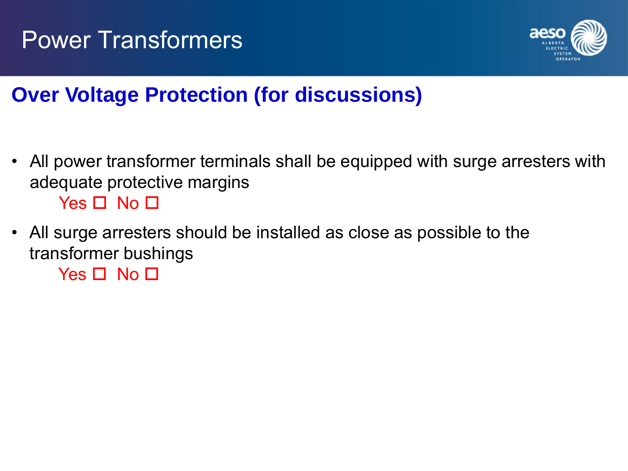

## **Over Voltage Protection (for discussions)**

- All power transformer terminals shall be equipped with surge arresters with adequate protective margins  $Yes \Box No \Box$
- All surge arresters should be installed as close as possible to the transformer bushings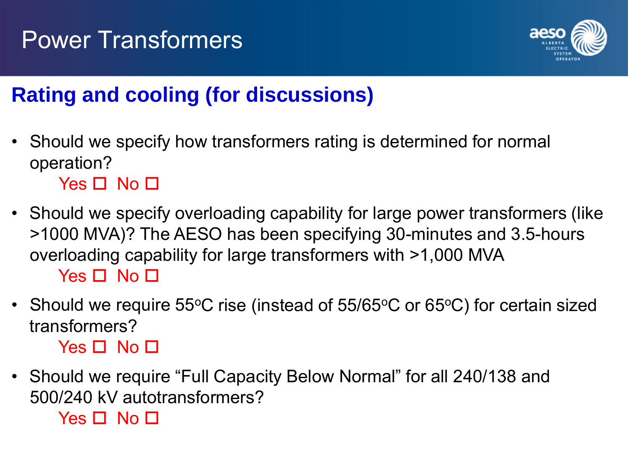

## **Rating and cooling (for discussions)**

• Should we specify how transformers rating is determined for normal operation?

 $Yes \Box No \Box$ 

- Should we specify overloading capability for large power transformers (like >1000 MVA)? The AESO has been specifying 30-minutes and 3.5-hours overloading capability for large transformers with >1,000 MVA Yes  $\Box$  No  $\Box$
- Should we require 55°C rise (instead of  $55/65$ °C or  $65$ °C) for certain sized transformers?

 $Yes \Box No \Box$ 

• Should we require "Full Capacity Below Normal" for all 240/138 and 500/240 kV autotransformers?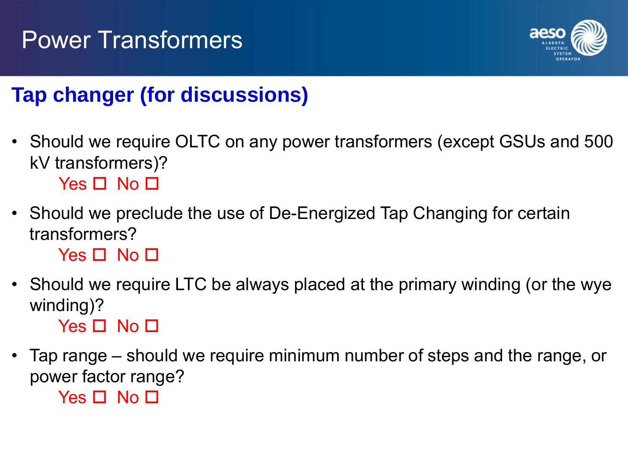# Power Transformers



## **Tap changer (for discussions)**

- Should we require OLTC on any power transformers (except GSUs and 500 kV transformers)?  $Yes \Box No \Box$
- Should we preclude the use of De-Energized Tap Changing for certain transformers?

 $Yes \Box No \Box$ 

- Should we require LTC be always placed at the primary winding (or the wye winding)?  $Yes \Box No \Box$
- Tap range should we require minimum number of steps and the range, or power factor range?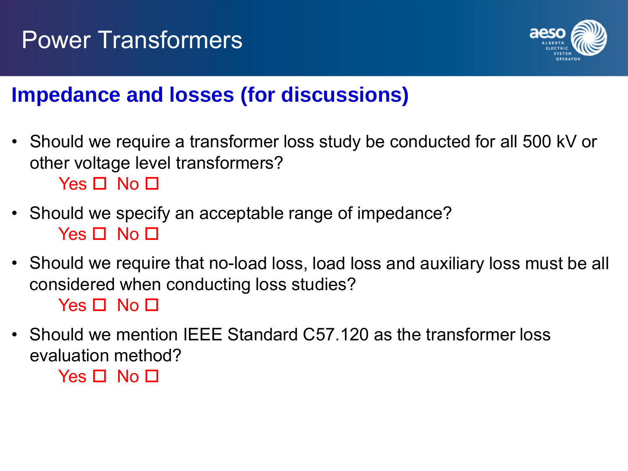



## **Impedance and losses (for discussions)**

• Should we require a transformer loss study be conducted for all 500 kV or other voltage level transformers?

 $Yes \Box No \Box$ 

- Should we specify an acceptable range of impedance?  $Yes \Box No \Box$
- Should we require that no-load loss, load loss and auxiliary loss must be all considered when conducting loss studies?

 $Yes \Box No \Box$ 

• Should we mention IEEE Standard C57.120 as the transformer loss evaluation method?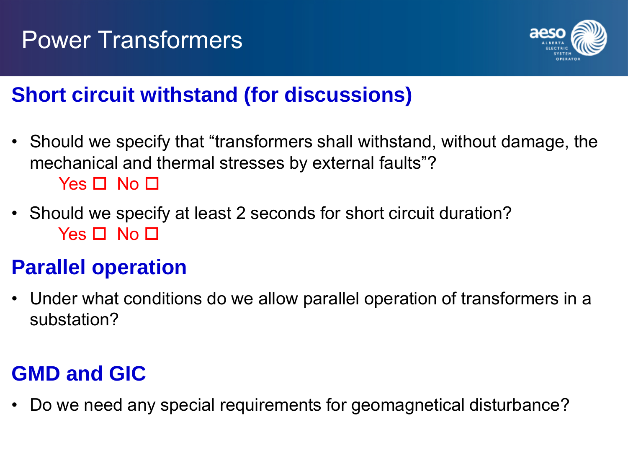

## **Short circuit withstand (for discussions)**

- Should we specify that "transformers shall withstand, without damage, the mechanical and thermal stresses by external faults"?  $Yes \Box No \Box$
- Should we specify at least 2 seconds for short circuit duration?  $Yes \Box No \Box$

## **Parallel operation**

• Under what conditions do we allow parallel operation of transformers in a substation?

## **GMD and GIC**

• Do we need any special requirements for geomagnetical disturbance?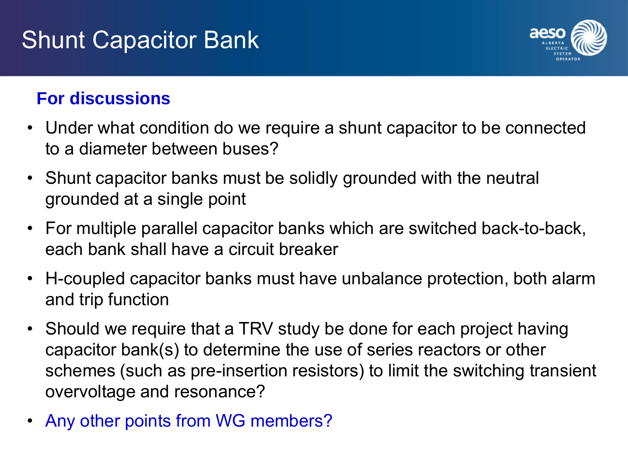# Shunt Capacitor Bank



### **For discussions**

- Under what condition do we require a shunt capacitor to be connected to a diameter between buses?
- Shunt capacitor banks must be solidly grounded with the neutral grounded at a single point
- For multiple parallel capacitor banks which are switched back-to-back, each bank shall have a circuit breaker
- H-coupled capacitor banks must have unbalance protection, both alarm and trip function
- Should we require that a TRV study be done for each project having capacitor bank(s) to determine the use of series reactors or other schemes (such as pre-insertion resistors) to limit the switching transient overvoltage and resonance?
- Any other points from WG members?